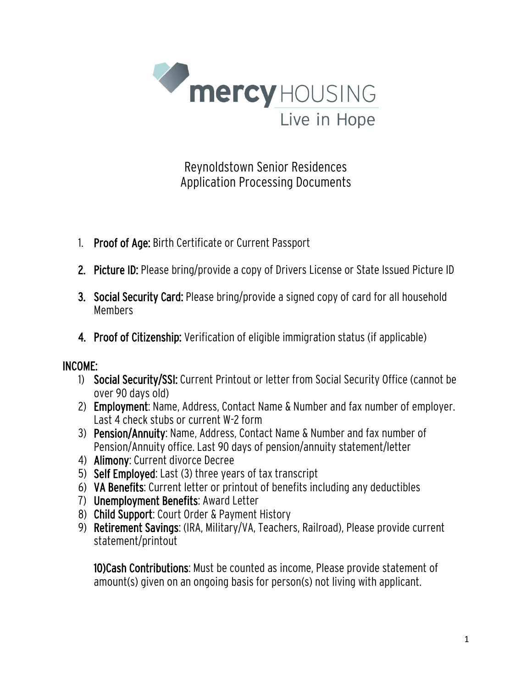

Reynoldstown Senior Residences Application Processing Documents

- 1. Proof of Age: Birth Certificate or Current Passport
- 2. Picture ID: Please bring/provide a copy of Drivers License or State Issued Picture ID
- 3. Social Security Card: Please bring/provide a signed copy of card for all household Members
- 4. Proof of Citizenship: Verification of eligible immigration status (if applicable)

## INCOME:

- 1) Social Security/SSI: Current Printout or letter from Social Security Office (cannot be over 90 days old)
- 2) Employment: Name, Address, Contact Name & Number and fax number of employer. Last 4 check stubs or current W-2 form
- 3) Pension/Annuity: Name, Address, Contact Name & Number and fax number of Pension/Annuity office. Last 90 days of pension/annuity statement/letter
- 4) Alimony: Current divorce Decree
- 5) Self Employed: Last (3) three years of tax transcript
- 6) VA Benefits: Current letter or printout of benefits including any deductibles
- 7) Unemployment Benefits: Award Letter
- 8) Child Support: Court Order & Payment History
- 9) Retirement Savings: (IRA, Military/VA, Teachers, Railroad), Please provide current statement/printout

10)Cash Contributions: Must be counted as income, Please provide statement of amount(s) given on an ongoing basis for person(s) not living with applicant.